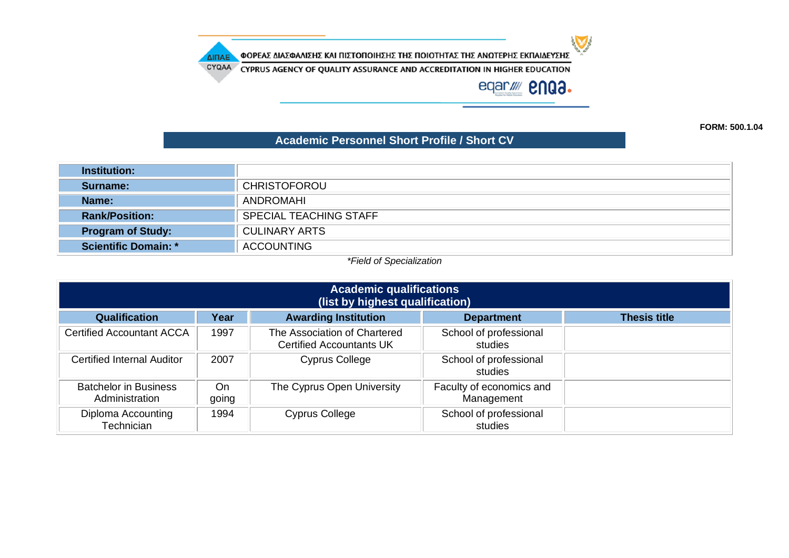CYQAA CYPRUS AGENCY OF QUALITY ASSURANCE AND ACCREDITATION IN HIGHER EDUCATION

ΔΙΠΑΕ

eqar//// **enga.** 

 $\sum$ 

**FORM: 500.1.04**

#### **Academic Personnel Short Profile / Short CV**

| <b>Institution:</b>      |                               |
|--------------------------|-------------------------------|
| Surname:                 | <b>CHRISTOFOROU</b>           |
| <b>Name:</b>             | ANDROMAHI                     |
| <b>Rank/Position:</b>    | <b>SPECIAL TEACHING STAFF</b> |
| <b>Program of Study:</b> | <b>CULINARY ARTS</b>          |
| Scientific Domain: *     | <b>ACCOUNTING</b>             |

#### *\*Field of Specialization*

| <b>Academic qualifications</b><br>(list by highest qualification) |                                                                                 |                                                                 |                                        |  |  |  |  |
|-------------------------------------------------------------------|---------------------------------------------------------------------------------|-----------------------------------------------------------------|----------------------------------------|--|--|--|--|
| <b>Qualification</b>                                              | <b>Awarding Institution</b><br>Year<br><b>Thesis title</b><br><b>Department</b> |                                                                 |                                        |  |  |  |  |
| <b>Certified Accountant ACCA</b>                                  | 1997                                                                            | The Association of Chartered<br><b>Certified Accountants UK</b> | School of professional<br>studies      |  |  |  |  |
| <b>Certified Internal Auditor</b>                                 | 2007                                                                            | <b>Cyprus College</b>                                           | School of professional<br>studies      |  |  |  |  |
| <b>Batchelor in Business</b><br>Administration                    | On<br>going                                                                     | The Cyprus Open University                                      | Faculty of economics and<br>Management |  |  |  |  |
| Diploma Accounting<br>Technician                                  | 1994                                                                            | <b>Cyprus College</b>                                           | School of professional<br>studies      |  |  |  |  |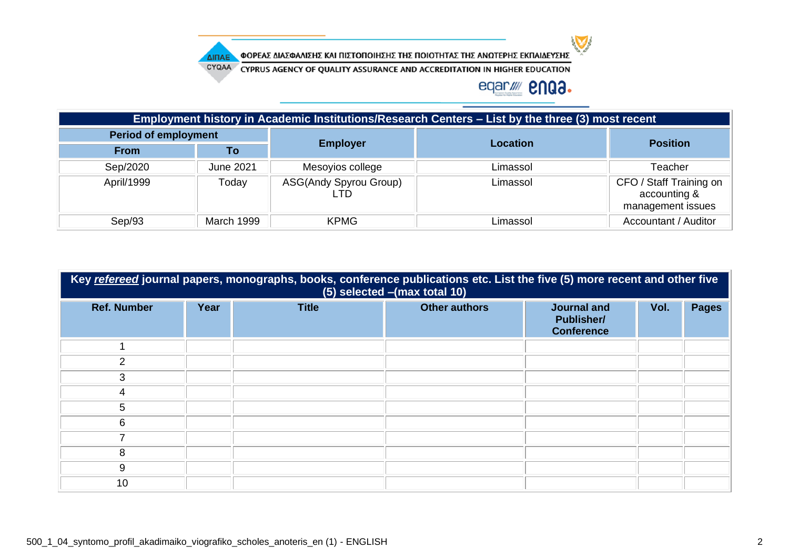

CYQAA CYPRUS AGENCY OF QUALITY ASSURANCE AND ACCREDITATION IN HIGHER EDUCATION

# eqar//// **2NQ3.**

| Employment history in Academic Institutions/Research Centers – List by the three (3) most recent |            |                               |                 |                                                              |  |
|--------------------------------------------------------------------------------------------------|------------|-------------------------------|-----------------|--------------------------------------------------------------|--|
| Period of employment                                                                             |            |                               |                 |                                                              |  |
| <b>From</b>                                                                                      | Τo         | <b>Employer</b>               | <b>Location</b> | <b>Position</b>                                              |  |
| Sep/2020                                                                                         | June 2021  | Mesoyios college              | Limassol        | Teacher                                                      |  |
| April/1999                                                                                       | Today      | ASG(Andy Spyrou Group)<br>LTD | Limassol        | CFO / Staff Training on<br>accounting &<br>management issues |  |
| Sep/93                                                                                           | March 1999 | <b>KPMG</b>                   | Limassol        | Accountant / Auditor                                         |  |

| Key refereed journal papers, monographs, books, conference publications etc. List the five (5) more recent and other five<br>(5) selected - (max total 10) |      |              |                      |                                                              |      |              |
|------------------------------------------------------------------------------------------------------------------------------------------------------------|------|--------------|----------------------|--------------------------------------------------------------|------|--------------|
| <b>Ref. Number</b>                                                                                                                                         | Year | <b>Title</b> | <b>Other authors</b> | <b>Journal and</b><br><b>Publisher/</b><br><b>Conference</b> | Vol. | <b>Pages</b> |
|                                                                                                                                                            |      |              |                      |                                                              |      |              |
| $\mathcal{P}$                                                                                                                                              |      |              |                      |                                                              |      |              |
| 3                                                                                                                                                          |      |              |                      |                                                              |      |              |
| 4                                                                                                                                                          |      |              |                      |                                                              |      |              |
| 5                                                                                                                                                          |      |              |                      |                                                              |      |              |
| 6                                                                                                                                                          |      |              |                      |                                                              |      |              |
| ⇁                                                                                                                                                          |      |              |                      |                                                              |      |              |
| 8                                                                                                                                                          |      |              |                      |                                                              |      |              |
| 9                                                                                                                                                          |      |              |                      |                                                              |      |              |
| 10                                                                                                                                                         |      |              |                      |                                                              |      |              |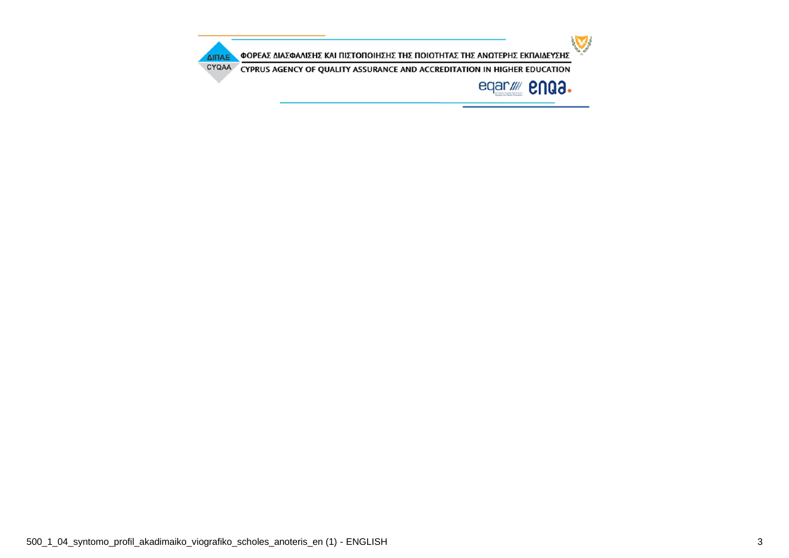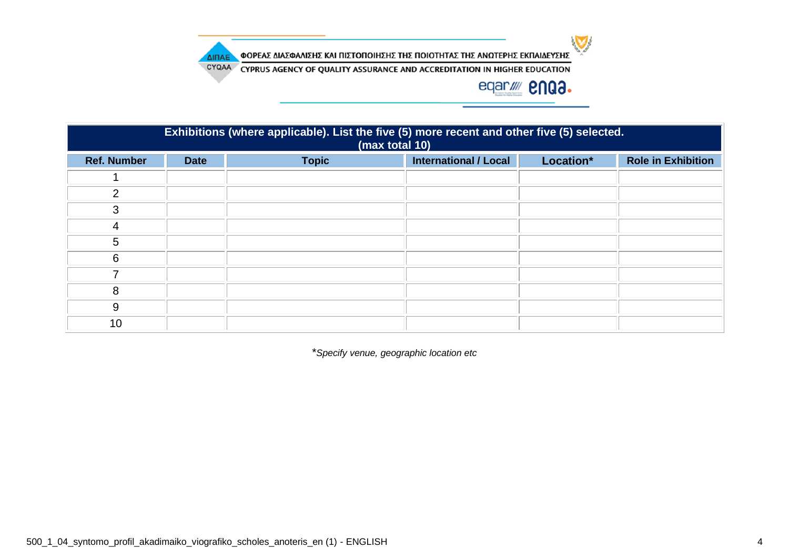

CYQAA CYPRUS AGENCY OF QUALITY ASSURANCE AND ACCREDITATION IN HIGHER EDUCATION

# eqar//// **enga.**

| Exhibitions (where applicable). List the five (5) more recent and other five (5) selected.<br>(max total 10) |             |              |                              |           |                           |  |
|--------------------------------------------------------------------------------------------------------------|-------------|--------------|------------------------------|-----------|---------------------------|--|
| <b>Ref. Number</b>                                                                                           | <b>Date</b> | <b>Topic</b> | <b>International / Local</b> | Location* | <b>Role in Exhibition</b> |  |
|                                                                                                              |             |              |                              |           |                           |  |
| $\mathcal{P}$                                                                                                |             |              |                              |           |                           |  |
| 3                                                                                                            |             |              |                              |           |                           |  |
| 4                                                                                                            |             |              |                              |           |                           |  |
| 5                                                                                                            |             |              |                              |           |                           |  |
| 6                                                                                                            |             |              |                              |           |                           |  |
|                                                                                                              |             |              |                              |           |                           |  |
| 8                                                                                                            |             |              |                              |           |                           |  |
| 9                                                                                                            |             |              |                              |           |                           |  |
| 10                                                                                                           |             |              |                              |           |                           |  |

\**Specify venue, geographic location etc*

ΔΙΠΑΕ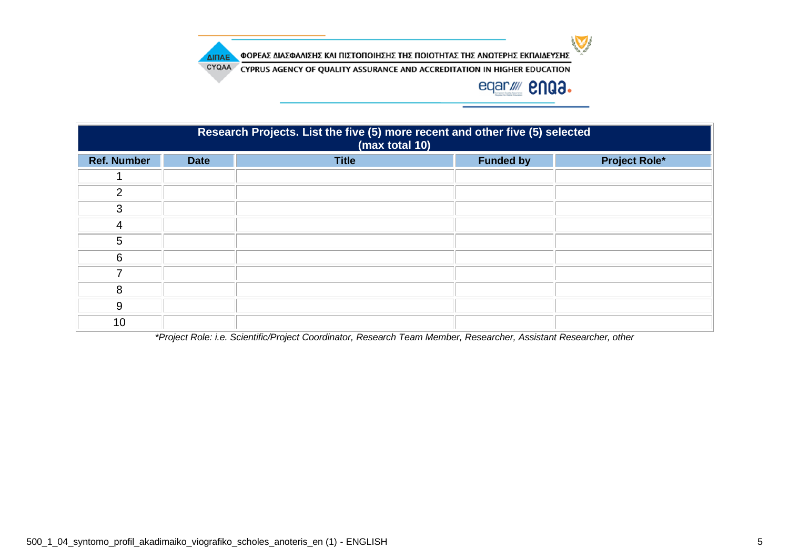

CYQAA CYPRUS AGENCY OF QUALITY ASSURANCE AND ACCREDITATION IN HIGHER EDUCATION

# eqar//// **enga.**

| Research Projects. List the five (5) more recent and other five (5) selected<br>(max total 10) |             |              |                  |                      |  |
|------------------------------------------------------------------------------------------------|-------------|--------------|------------------|----------------------|--|
| <b>Ref. Number</b>                                                                             | <b>Date</b> | <b>Title</b> | <b>Funded by</b> | <b>Project Role*</b> |  |
|                                                                                                |             |              |                  |                      |  |
| 2                                                                                              |             |              |                  |                      |  |
| 3                                                                                              |             |              |                  |                      |  |
| 4                                                                                              |             |              |                  |                      |  |
| 5                                                                                              |             |              |                  |                      |  |
| 6                                                                                              |             |              |                  |                      |  |
|                                                                                                |             |              |                  |                      |  |
| 8                                                                                              |             |              |                  |                      |  |
| 9                                                                                              |             |              |                  |                      |  |
| 10                                                                                             |             |              |                  |                      |  |

*\*Project Role: i.e. Scientific/Project Coordinator, Research Team Member, Researcher, Assistant Researcher, other*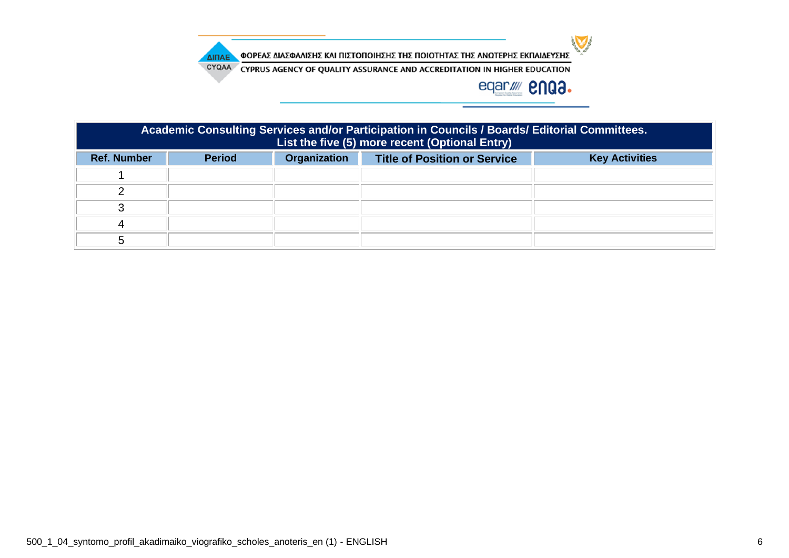

CYQAA CYPRUS AGENCY OF QUALITY ASSURANCE AND ACCREDITATION IN HIGHER EDUCATION

# eqar//// **2NQ3.**

| Academic Consulting Services and/or Participation in Councils / Boards/ Editorial Committees.<br>List the five (5) more recent (Optional Entry) |                                                                                               |  |  |  |  |  |
|-------------------------------------------------------------------------------------------------------------------------------------------------|-----------------------------------------------------------------------------------------------|--|--|--|--|--|
| <b>Ref. Number</b>                                                                                                                              | Organization<br><b>Period</b><br><b>Key Activities</b><br><b>Title of Position or Service</b> |  |  |  |  |  |
|                                                                                                                                                 |                                                                                               |  |  |  |  |  |
|                                                                                                                                                 |                                                                                               |  |  |  |  |  |
|                                                                                                                                                 |                                                                                               |  |  |  |  |  |
|                                                                                                                                                 |                                                                                               |  |  |  |  |  |
| :5                                                                                                                                              |                                                                                               |  |  |  |  |  |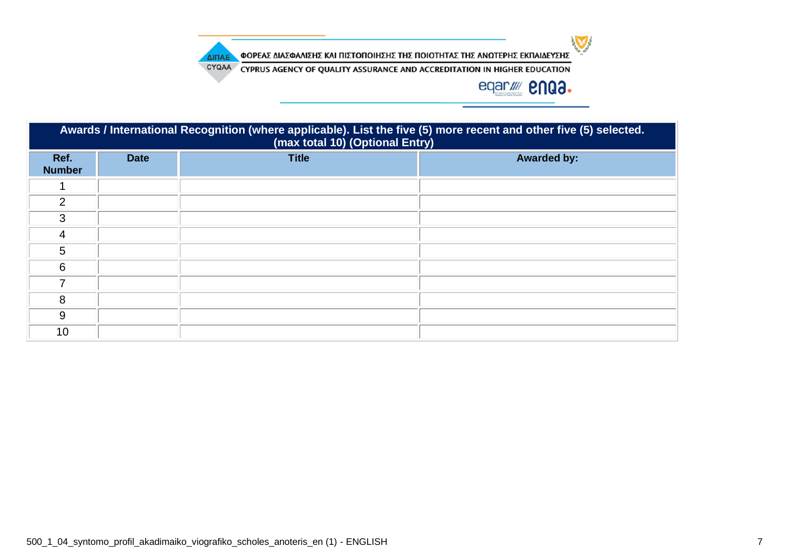

CYQAA CYPRUS AGENCY OF QUALITY ASSURANCE AND ACCREDITATION IN HIGHER EDUCATION

# eqar//// **2NQ3.**

| Awards / International Recognition (where applicable). List the five (5) more recent and other five (5) selected.<br>(max total 10) (Optional Entry) |             |              |                    |  |  |  |
|------------------------------------------------------------------------------------------------------------------------------------------------------|-------------|--------------|--------------------|--|--|--|
| Ref.<br><b>Number</b>                                                                                                                                | <b>Date</b> | <b>Title</b> | <b>Awarded by:</b> |  |  |  |
|                                                                                                                                                      |             |              |                    |  |  |  |
| $\overline{2}$                                                                                                                                       |             |              |                    |  |  |  |
| 3                                                                                                                                                    |             |              |                    |  |  |  |
| 4                                                                                                                                                    |             |              |                    |  |  |  |
| 5                                                                                                                                                    |             |              |                    |  |  |  |
| 6                                                                                                                                                    |             |              |                    |  |  |  |
| 7                                                                                                                                                    |             |              |                    |  |  |  |
| 8                                                                                                                                                    |             |              |                    |  |  |  |
| 9                                                                                                                                                    |             |              |                    |  |  |  |
| 10                                                                                                                                                   |             |              |                    |  |  |  |